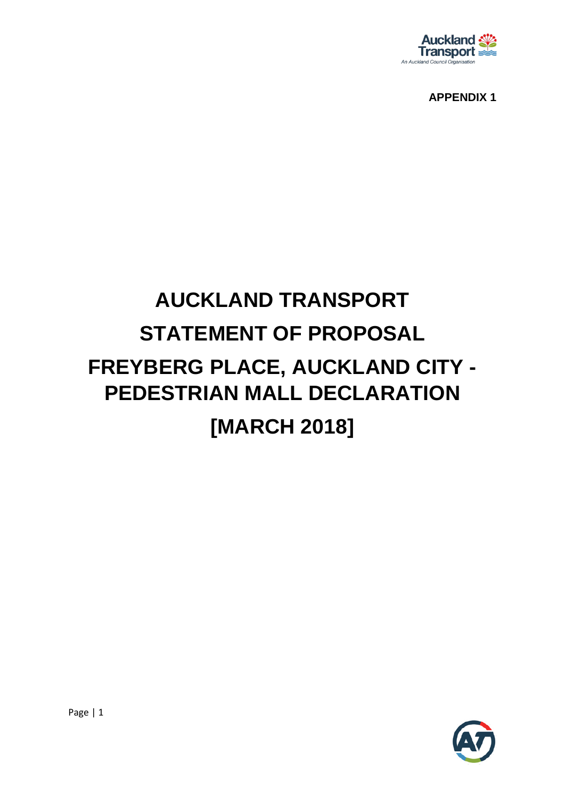

**APPENDIX 1**

# **AUCKLAND TRANSPORT STATEMENT OF PROPOSAL FREYBERG PLACE, AUCKLAND CITY - PEDESTRIAN MALL DECLARATION [MARCH 2018]**

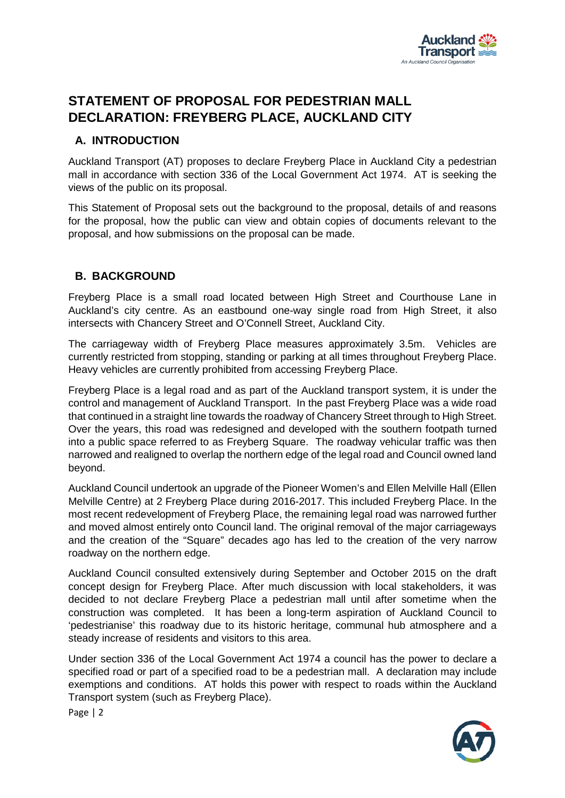

# **STATEMENT OF PROPOSAL FOR PEDESTRIAN MALL DECLARATION: FREYBERG PLACE, AUCKLAND CITY**

# **A. INTRODUCTION**

Auckland Transport (AT) proposes to declare Freyberg Place in Auckland City a pedestrian mall in accordance with section 336 of the Local Government Act 1974. AT is seeking the views of the public on its proposal.

This Statement of Proposal sets out the background to the proposal, details of and reasons for the proposal, how the public can view and obtain copies of documents relevant to the proposal, and how submissions on the proposal can be made.

# **B. BACKGROUND**

Freyberg Place is a small road located between High Street and Courthouse Lane in Auckland's city centre. As an eastbound one-way single road from High Street, it also intersects with Chancery Street and O'Connell Street, Auckland City.

The carriageway width of Freyberg Place measures approximately 3.5m. Vehicles are currently restricted from stopping, standing or parking at all times throughout Freyberg Place. Heavy vehicles are currently prohibited from accessing Freyberg Place.

Freyberg Place is a legal road and as part of the Auckland transport system, it is under the control and management of Auckland Transport. In the past Freyberg Place was a wide road that continued in a straight line towards the roadway of Chancery Street through to High Street. Over the years, this road was redesigned and developed with the southern footpath turned into a public space referred to as Freyberg Square. The roadway vehicular traffic was then narrowed and realigned to overlap the northern edge of the legal road and Council owned land beyond.

Auckland Council undertook an upgrade of the Pioneer Women's and Ellen Melville Hall (Ellen Melville Centre) at 2 Freyberg Place during 2016-2017. This included Freyberg Place. In the most recent redevelopment of Freyberg Place, the remaining legal road was narrowed further and moved almost entirely onto Council land. The original removal of the major carriageways and the creation of the "Square" decades ago has led to the creation of the very narrow roadway on the northern edge.

Auckland Council consulted extensively during September and October 2015 on the draft concept design for Freyberg Place. After much discussion with local stakeholders, it was decided to not declare Freyberg Place a pedestrian mall until after sometime when the construction was completed. It has been a long-term aspiration of Auckland Council to 'pedestrianise' this roadway due to its historic heritage, communal hub atmosphere and a steady increase of residents and visitors to this area.

Under section 336 of the Local Government Act 1974 a council has the power to declare a specified road or part of a specified road to be a pedestrian mall. A declaration may include exemptions and conditions. AT holds this power with respect to roads within the Auckland Transport system (such as Freyberg Place).



Page | 2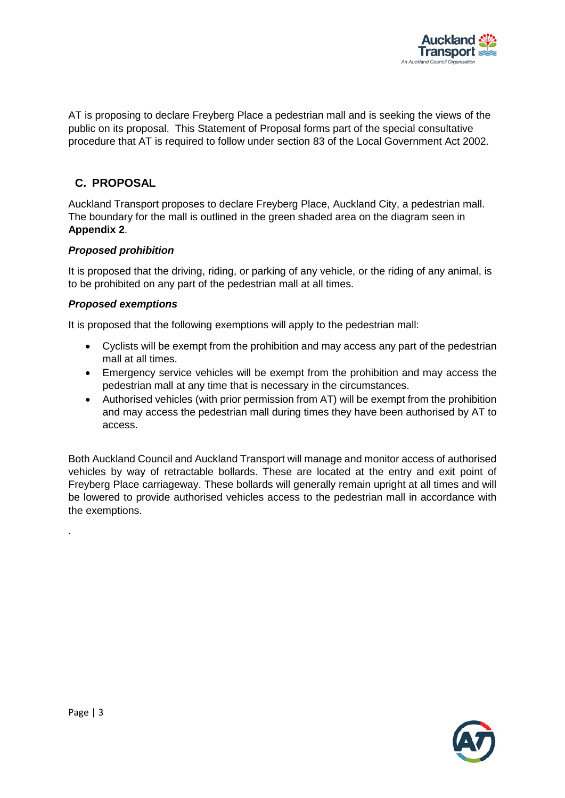

AT is proposing to declare Freyberg Place a pedestrian mall and is seeking the views of the public on its proposal. This Statement of Proposal forms part of the special consultative procedure that AT is required to follow under section 83 of the Local Government Act 2002.

## **C. PROPOSAL**

Auckland Transport proposes to declare Freyberg Place, Auckland City, a pedestrian mall. The boundary for the mall is outlined in the green shaded area on the diagram seen in **Appendix 2**.

### *Proposed prohibition*

It is proposed that the driving, riding, or parking of any vehicle, or the riding of any animal, is to be prohibited on any part of the pedestrian mall at all times.

### *Proposed exemptions*

It is proposed that the following exemptions will apply to the pedestrian mall:

- Cyclists will be exempt from the prohibition and may access any part of the pedestrian mall at all times.
- Emergency service vehicles will be exempt from the prohibition and may access the pedestrian mall at any time that is necessary in the circumstances.
- Authorised vehicles (with prior permission from AT) will be exempt from the prohibition and may access the pedestrian mall during times they have been authorised by AT to access.

Both Auckland Council and Auckland Transport will manage and monitor access of authorised vehicles by way of retractable bollards. These are located at the entry and exit point of Freyberg Place carriageway. These bollards will generally remain upright at all times and will be lowered to provide authorised vehicles access to the pedestrian mall in accordance with the exemptions.



.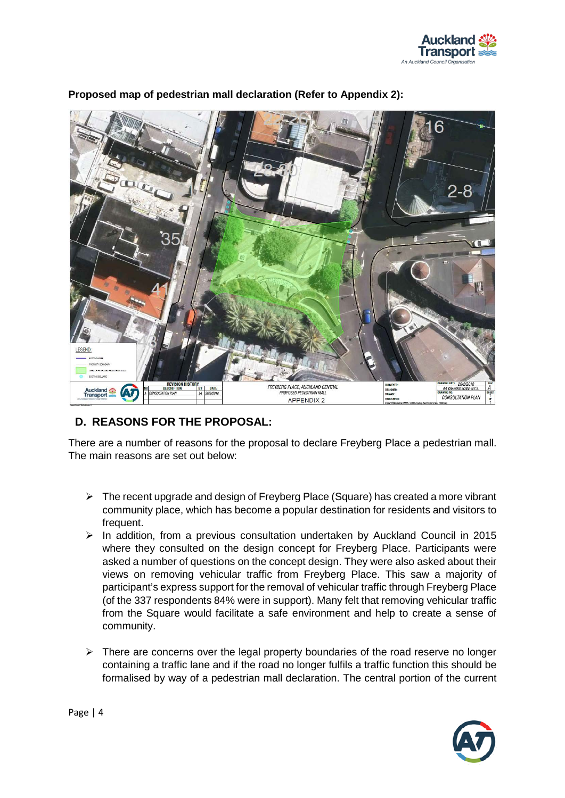



## **Proposed map of pedestrian mall declaration (Refer to Appendix 2):**

# **D. REASONS FOR THE PROPOSAL:**

There are a number of reasons for the proposal to declare Freyberg Place a pedestrian mall. The main reasons are set out below:

- $\triangleright$  The recent upgrade and design of Freyberg Place (Square) has created a more vibrant community place, which has become a popular destination for residents and visitors to frequent.
- $\triangleright$  In addition, from a previous consultation undertaken by Auckland Council in 2015 where they consulted on the design concept for Freyberg Place. Participants were asked a number of questions on the concept design. They were also asked about their views on removing vehicular traffic from Freyberg Place. This saw a majority of participant's express support for the removal of vehicular traffic through Freyberg Place (of the 337 respondents 84% were in support). Many felt that removing vehicular traffic from the Square would facilitate a safe environment and help to create a sense of community.
- $\triangleright$  There are concerns over the legal property boundaries of the road reserve no longer containing a traffic lane and if the road no longer fulfils a traffic function this should be formalised by way of a pedestrian mall declaration. The central portion of the current

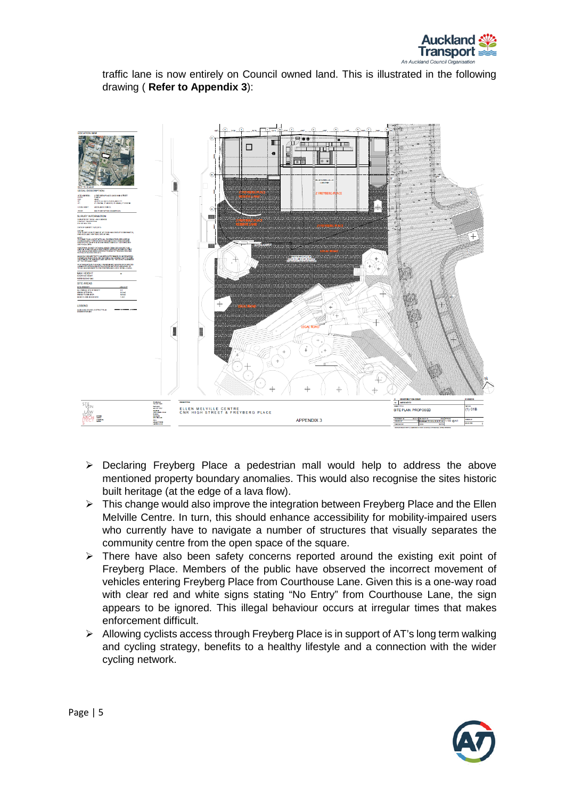

traffic lane is now entirely on Council owned land. This is illustrated in the following drawing ( **Refer to Appendix 3**):



- $\triangleright$  Declaring Freyberg Place a pedestrian mall would help to address the above mentioned property boundary anomalies. This would also recognise the sites historic built heritage (at the edge of a lava flow).
- $\triangleright$  This change would also improve the integration between Freyberg Place and the Ellen Melville Centre. In turn, this should enhance accessibility for mobility-impaired users who currently have to navigate a number of structures that visually separates the community centre from the open space of the square.
- $\triangleright$  There have also been safety concerns reported around the existing exit point of Freyberg Place. Members of the public have observed the incorrect movement of vehicles entering Freyberg Place from Courthouse Lane. Given this is a one-way road with clear red and white signs stating "No Entry" from Courthouse Lane, the sign appears to be ignored. This illegal behaviour occurs at irregular times that makes enforcement difficult.
- $\triangleright$  Allowing cyclists access through Freyberg Place is in support of AT's long term walking and cycling strategy, benefits to a healthy lifestyle and a connection with the wider cycling network.

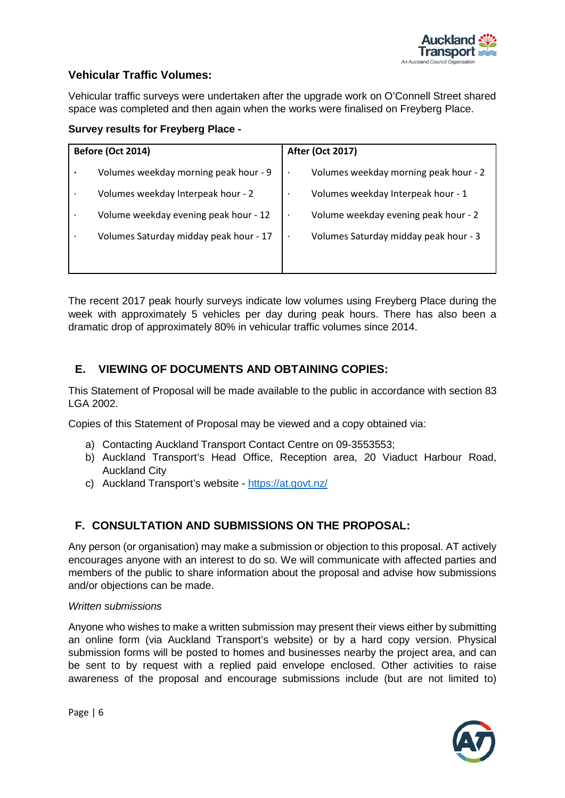

## **Vehicular Traffic Volumes:**

Vehicular traffic surveys were undertaken after the upgrade work on O'Connell Street shared space was completed and then again when the works were finalised on Freyberg Place.

## **Survey results for Freyberg Place -**

| <b>Before (Oct 2014)</b> |                                        | <b>After (Oct 2017)</b>               |
|--------------------------|----------------------------------------|---------------------------------------|
| ٠                        | Volumes weekday morning peak hour - 9  | Volumes weekday morning peak hour - 2 |
| $\bullet$                | Volumes weekday Interpeak hour - 2     | Volumes weekday Interpeak hour - 1    |
| $\bullet$                | Volume weekday evening peak hour - 12  | Volume weekday evening peak hour - 2  |
| $\bullet$                | Volumes Saturday midday peak hour - 17 | Volumes Saturday midday peak hour - 3 |
|                          |                                        |                                       |

The recent 2017 peak hourly surveys indicate low volumes using Freyberg Place during the week with approximately 5 vehicles per day during peak hours. There has also been a dramatic drop of approximately 80% in vehicular traffic volumes since 2014.

## **E. VIEWING OF DOCUMENTS AND OBTAINING COPIES:**

This Statement of Proposal will be made available to the public in accordance with section 83 LGA 2002.

Copies of this Statement of Proposal may be viewed and a copy obtained via:

- a) Contacting Auckland Transport Contact Centre on 09-3553553;
- b) Auckland Transport's Head Office, Reception area, 20 Viaduct Harbour Road, Auckland City
- c) Auckland Transport's website <https://at.govt.nz/>

# **F. CONSULTATION AND SUBMISSIONS ON THE PROPOSAL:**

Any person (or organisation) may make a submission or objection to this proposal. AT actively encourages anyone with an interest to do so. We will communicate with affected parties and members of the public to share information about the proposal and advise how submissions and/or objections can be made.

### *Written submissions*

Anyone who wishes to make a written submission may present their views either by submitting an online form (via Auckland Transport's website) or by a hard copy version. Physical submission forms will be posted to homes and businesses nearby the project area, and can be sent to by request with a replied paid envelope enclosed. Other activities to raise awareness of the proposal and encourage submissions include (but are not limited to)



Page | 6